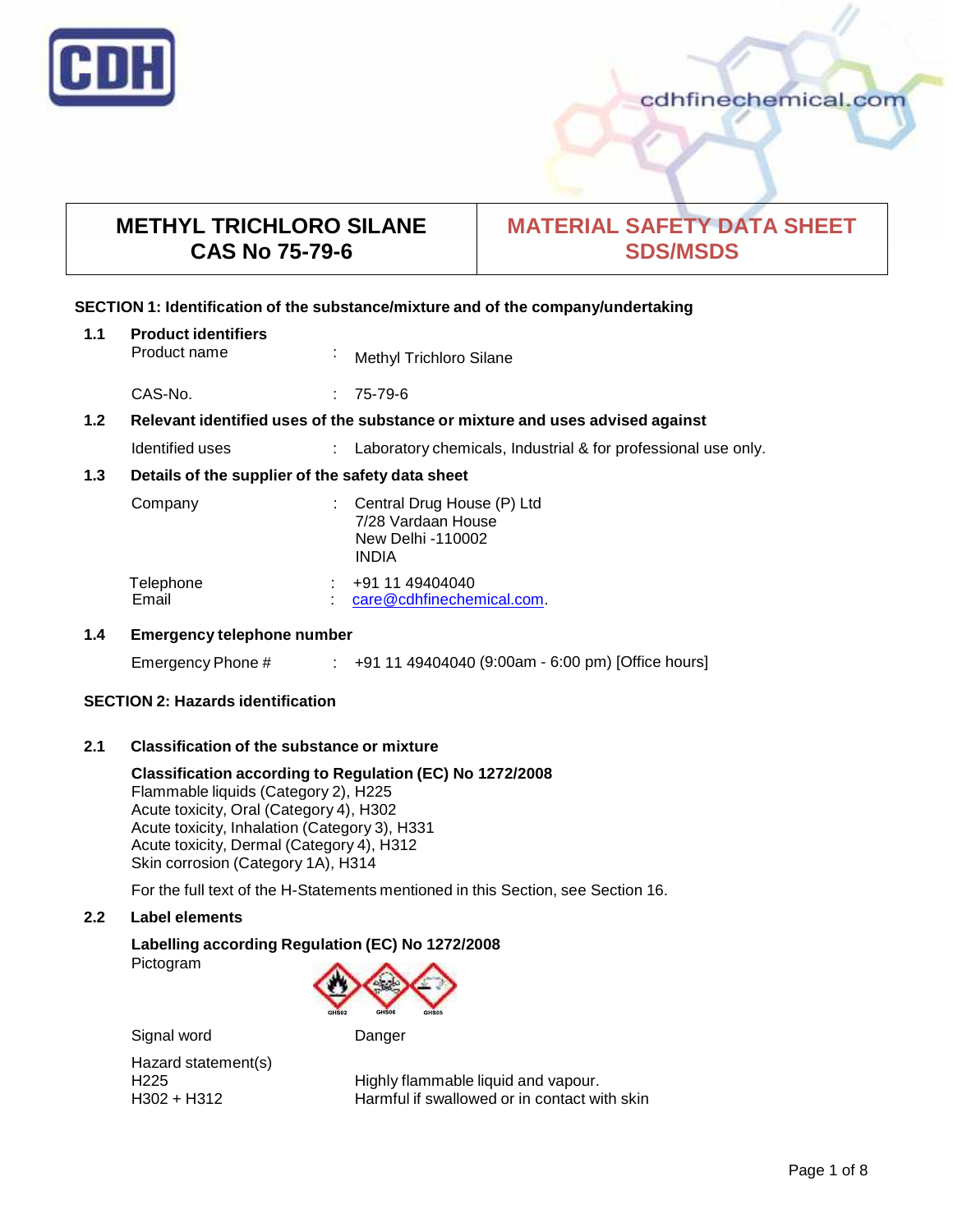

# **METHYL TRICHLORO SILANE CAS No 75-79-6**

# **MATERIAL SAFETY DATA SHEET SDS/MSDS**

# **SECTION 1: Identification of the substance/mixture and of the company/undertaking**

| 1.1                                                                                  | <b>Product identifiers</b><br>Product name       | ٠ | Methyl Trichloro Silane                                                               |
|--------------------------------------------------------------------------------------|--------------------------------------------------|---|---------------------------------------------------------------------------------------|
|                                                                                      | CAS-No.                                          | ÷ | 75-79-6                                                                               |
| 1.2<br>Relevant identified uses of the substance or mixture and uses advised against |                                                  |   |                                                                                       |
|                                                                                      | Identified uses                                  | ÷ | Laboratory chemicals, Industrial & for professional use only.                         |
| 1.3                                                                                  | Details of the supplier of the safety data sheet |   |                                                                                       |
|                                                                                      | Company                                          |   | Central Drug House (P) Ltd<br>7/28 Vardaan House<br>New Delhi -110002<br><b>INDIA</b> |
|                                                                                      | Telephone<br>Email                               | ٠ | +91 11 49404040<br>care@cdhfinechemical.com.                                          |
| 1 A                                                                                  | Emergency telephone number                       |   |                                                                                       |

# **1.4 Emergency telephone number**

Emergency Phone # : +91 11 49404040 (9:00am - 6:00 pm) [Office hours]

# **SECTION 2: Hazards identification**

# **2.1 Classification of the substance ormixture**

# **Classification according to Regulation (EC) No 1272/2008**

Flammable liquids (Category 2), H225 Acute toxicity, Oral (Category 4), H302 Acute toxicity, Inhalation (Category 3), H331 Acute toxicity, Dermal (Category 4), H312 Skin corrosion (Category 1A), H314

For the full text of the H-Statements mentioned in this Section, see Section 16.

# **2.2 Label elements**

# **Labelling according Regulation (EC) No 1272/2008**

Pictogram



Signal word Danger

Hazard statement(s)

H225 Highly flammable liquid and vapour.<br>H302 + H312 Harmful if swallowed or in contact wi Harmful if swallowed or in contact with skin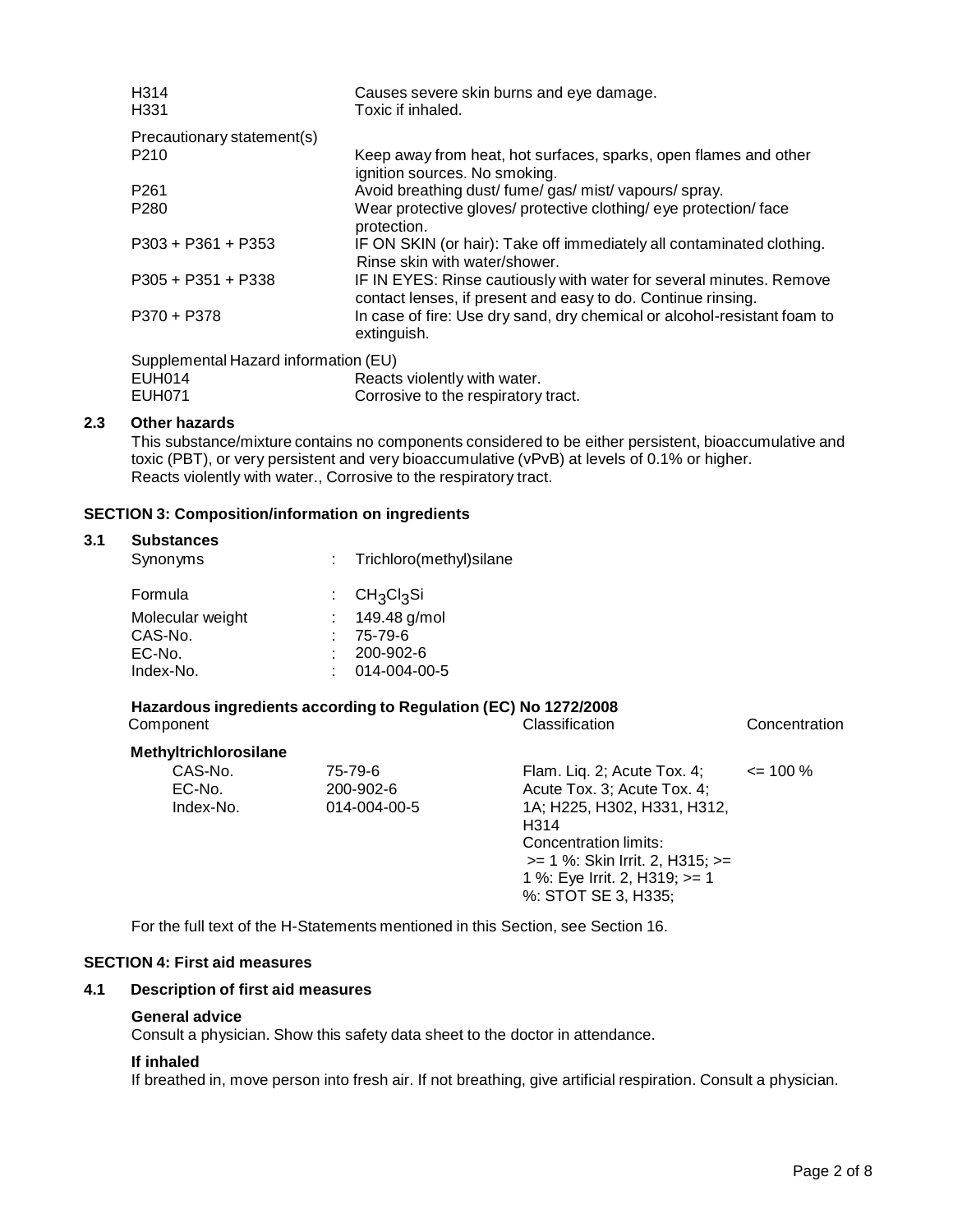| H <sub>314</sub><br>H <sub>331</sub> | Causes severe skin burns and eye damage.<br>Toxic if inhaled.                                                                       |  |  |
|--------------------------------------|-------------------------------------------------------------------------------------------------------------------------------------|--|--|
| Precautionary statement(s)           |                                                                                                                                     |  |  |
| P <sub>210</sub>                     | Keep away from heat, hot surfaces, sparks, open flames and other                                                                    |  |  |
|                                      | ignition sources. No smoking.                                                                                                       |  |  |
| P <sub>261</sub>                     | Avoid breathing dust/ fume/ gas/ mist/ vapours/ spray.                                                                              |  |  |
| P <sub>280</sub>                     | Wear protective gloves/ protective clothing/ eye protection/ face<br>protection.                                                    |  |  |
| $P303 + P361 + P353$                 | IF ON SKIN (or hair): Take off immediately all contaminated clothing.<br>Rinse skin with water/shower.                              |  |  |
| $P305 + P351 + P338$                 | IF IN EYES: Rinse cautiously with water for several minutes. Remove<br>contact lenses, if present and easy to do. Continue rinsing. |  |  |
| P370 + P378                          | In case of fire: Use dry sand, dry chemical or alcohol-resistant foam to<br>extinguish.                                             |  |  |
| Supplemental Hazard information (EU) |                                                                                                                                     |  |  |
| E1IBMA                               | Poacte violently with water                                                                                                         |  |  |

| EUH014 | Reacts violently with water.        |
|--------|-------------------------------------|
| EUH071 | Corrosive to the respiratory tract. |

# **2.3 Other hazards**

This substance/mixture contains no components considered to be either persistent, bioaccumulative and toxic (PBT), or very persistent and very bioaccumulative (vPvB) at levels of 0.1% or higher.<br>Reacts violently with water., Corrosive to the respiratory tract.

# **SECTION 3: Composition/information on ingredients**

| <b>Substances</b><br>Synonyms | Trichloro(methyl)silane<br>÷.           |  |
|-------------------------------|-----------------------------------------|--|
| Formula                       | CH <sub>3</sub> Cl <sub>3</sub> Si<br>÷ |  |
| Molecular weight              | 149.48 g/mol                            |  |
| CAS-No.                       | 75-79-6<br>٠.                           |  |
| EC-No.                        | 200-902-6                               |  |
| Index-No.                     | 014-004-00-5                            |  |

| Component                      |                                      | Classification                                                                                                                                                                                                        | Concentration |
|--------------------------------|--------------------------------------|-----------------------------------------------------------------------------------------------------------------------------------------------------------------------------------------------------------------------|---------------|
| Methyltrichlorosilane          |                                      |                                                                                                                                                                                                                       |               |
| CAS-No.<br>EC-No.<br>Index-No. | 75-79-6<br>200-902-6<br>014-004-00-5 | Flam. Lig. 2; Acute Tox. 4;<br>Acute Tox. 3; Acute Tox. 4;<br>1A; H225, H302, H331, H312,<br>H314<br>Concentration limits:<br>>= 1 %: Skin Irrit. 2, H315; >=<br>1 %: Eye Irrit. 2, H319; >= 1<br>%: STOT SE 3, H335; | $\leq$ 100 %  |

For the full text of the H-Statements mentioned in this Section, see Section 16.

# **SECTION 4: First aid measures**

# **4.1 Description of first aid measures**

# **General advice**

Consult a physician. Show this safety data sheet to the doctor in attendance.

# **If inhaled**

If breathed in, move person into fresh air. If not breathing, give artificial respiration. Consult a physician.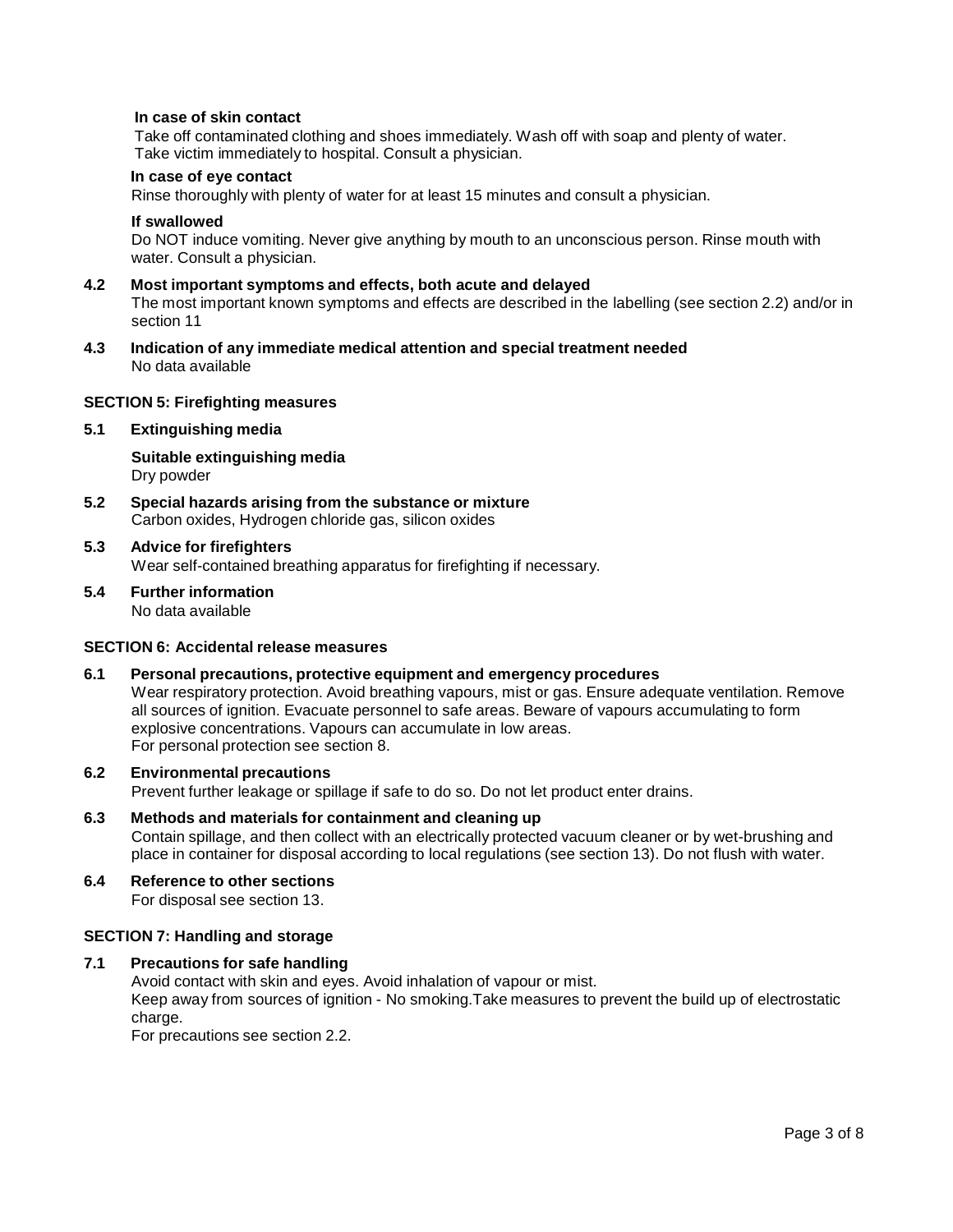#### **In case of skin contact**

Take off contaminated clothing and shoes immediately. Wash off with soap and plenty of water. Take victim immediately to hospital. Consult a physician.

#### **In case of eye contact**

Rinse thoroughly with plenty of water for at least 15 minutes and consult a physician.

#### **If swallowed**

Do NOT induce vomiting. Never give anything by mouth to an unconscious person. Rinse mouth with water. Consult a physician.

- **4.2 Most important symptoms and effects, both acute and delayed** The most important known symptoms and effects are described in the labelling (see section 2.2) and/or in section 11
- **4.3 Indication of any immediate medical attention and special treatment needed** No data available

#### **SECTION 5: Firefighting measures**

#### **5.1 Extinguishing media**

**Suitable extinguishing media** Dry powder

**5.2 Special hazards arising from the substance ormixture** Carbon oxides, Hydrogen chloride gas, silicon oxides

# **5.3 Advice for firefighters**

Wear self-contained breathing apparatus for firefighting if necessary.

**5.4 Further information** No data available

#### **SECTION 6: Accidental release measures**

**6.1 Personal precautions, protective equipment and emergency procedures** Wear respiratory protection. Avoid breathing vapours, mist or gas. Ensure adequate ventilation. Remove all sources of ignition. Evacuate personnel to safe areas. Beware of vapours accumulating to form explosive concentrations. Vapours can accumulate in low areas. For personal protection see section 8.

# **6.2 Environmental precautions**

Prevent further leakage or spillage if safe to do so. Do not let product enter drains.

- **6.3 Methods and materials for containment and cleaning up** Contain spillage, and then collect with an electrically protected vacuum cleaner or by wet-brushing and place in container for disposal according to local regulations (see section 13). Do not flush with water.
- **6.4 Reference to other sections** For disposal see section 13.

#### **SECTION 7: Handling and storage**

**7.1 Precautions for safe handling**

Avoid contact with skin and eyes. Avoid inhalation of vapour or mist.

Keep away from sources of ignition - No smoking.Take measures to prevent the build up of electrostatic charge.

For precautions see section 2.2.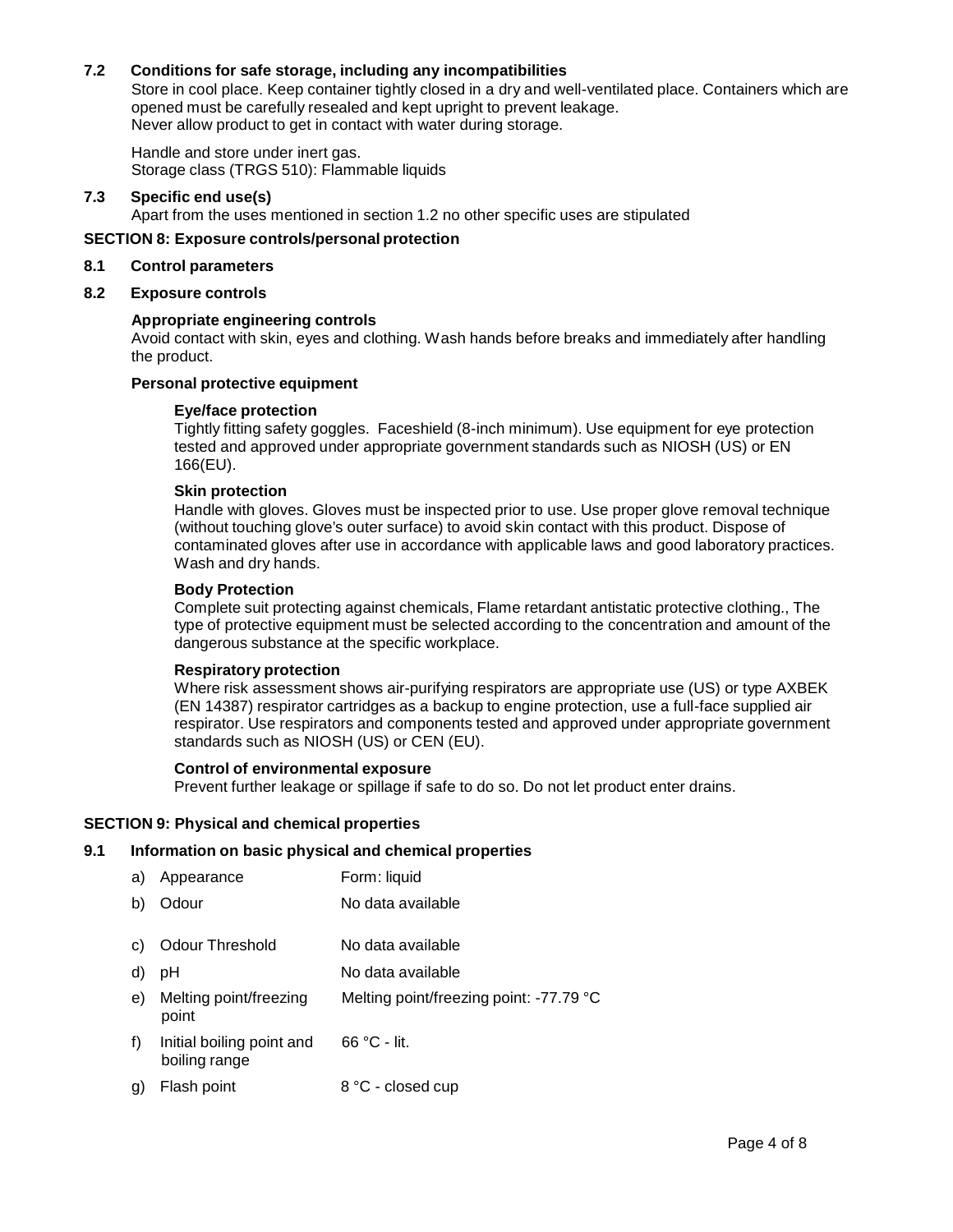# **7.2 Conditions for safe storage, including any incompatibilities**

Store in cool place. Keep container tightly closed in a dry and well-ventilated place. Containers which are opened must be carefully resealed and kept upright to prevent leakage. Never allow product to get in contact with water during storage.

Handle and store under inert gas. Storage class (TRGS 510): Flammable liquids

# **7.3 Specific end use(s)**

Apart from the uses mentioned in section 1.2 no other specific uses are stipulated

#### **SECTION 8: Exposure controls/personal protection**

#### **8.1 Control parameters**

#### **8.2 Exposure controls**

#### **Appropriate engineering controls**

Avoid contact with skin, eyes and clothing. Wash hands before breaks and immediately after handling the product.

#### **Personal protective equipment**

# **Eye/face protection**

Tightly fitting safety goggles. Faceshield (8-inch minimum). Use equipment for eye protection tested and approved under appropriate government standards such as NIOSH (US) or EN 166(EU).

## **Skin protection**

Handle with gloves. Gloves must be inspected prior to use. Use proper glove removal technique (without touching glove's outer surface) to avoid skin contact with this product. Dispose of contaminated gloves after use in accordance with applicable laws and good laboratory practices. Wash and dry hands.

#### **Body Protection**

Complete suit protecting against chemicals, Flame retardant antistatic protective clothing., The type of protective equipment must be selected according to the concentration and amount of the dangerous substance at the specific workplace.

#### **Respiratory protection**

Where risk assessment shows air-purifying respirators are appropriate use (US) or type AXBEK (EN 14387) respirator cartridges as a backup to engine protection, use a full-face supplied air respirator. Use respirators and components tested and approved under appropriate government standards such as NIOSH (US) or CEN (EU).

# **Control of environmental exposure**

Prevent further leakage or spillage if safe to do so. Do not let product enter drains.

#### **SECTION 9: Physical and chemical properties**

# **9.1 Information on basic physical and chemical properties**

| a) | Appearance                                 | Form: liquid                            |
|----|--------------------------------------------|-----------------------------------------|
| b) | Odour                                      | No data available                       |
| C) | Odour Threshold                            | No data available                       |
| d) | рH                                         | No data available                       |
| e) | Melting point/freezing<br>point            | Melting point/freezing point: -77.79 °C |
| f) | Initial boiling point and<br>boiling range | $66 °C - lit.$                          |
| g) | Flash point                                | 8 °C - closed cup                       |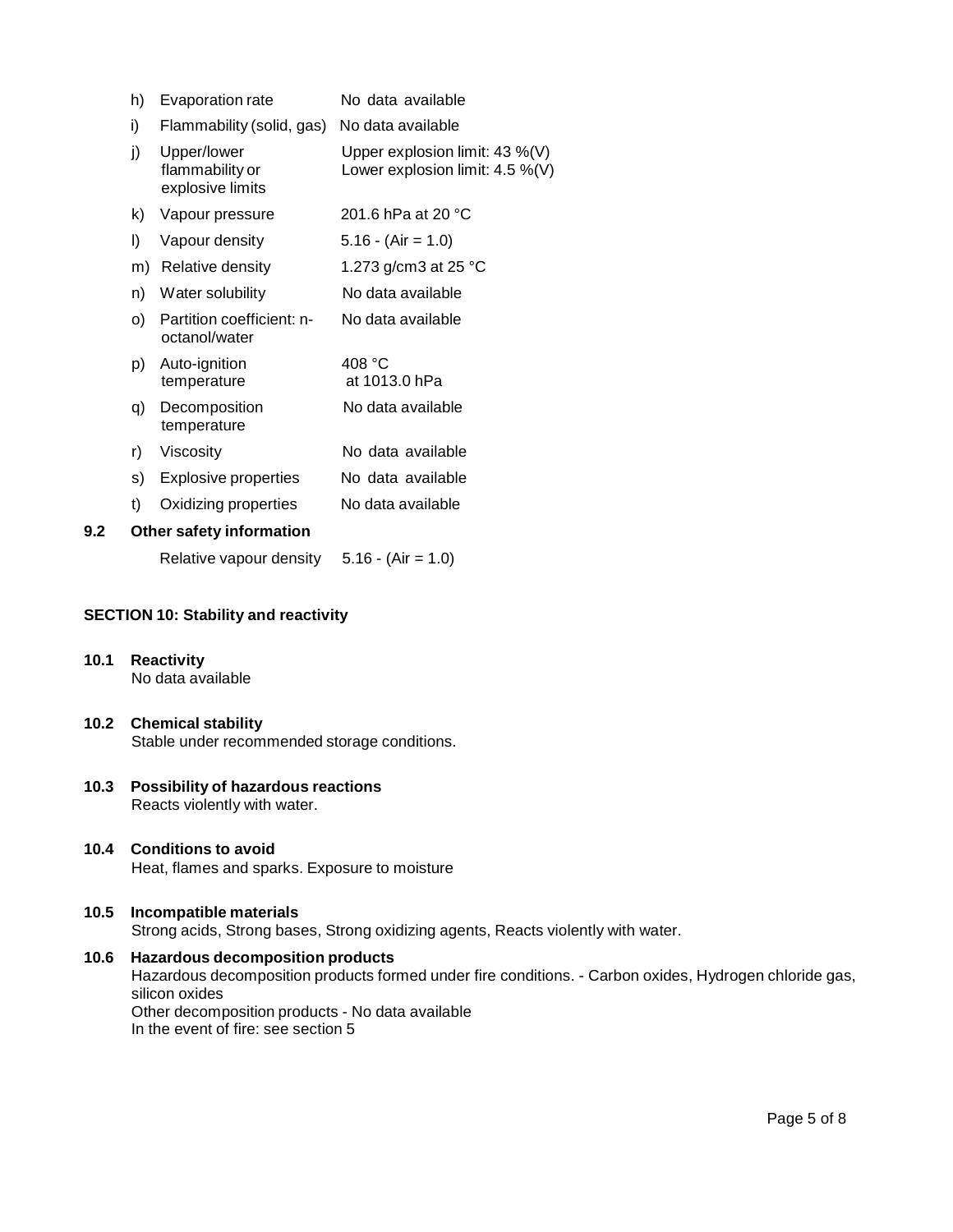|     | h) | Evaporation rate                                   | No data available                                                    |
|-----|----|----------------------------------------------------|----------------------------------------------------------------------|
|     | i) | Flammability (solid, gas)                          | No data available                                                    |
|     | j) | Upper/lower<br>flammability or<br>explosive limits | Upper explosion limit: 43 %(V)<br>Lower explosion limit: $4.5\%$ (V) |
|     | k) | Vapour pressure                                    | 201.6 hPa at 20 °C                                                   |
|     | I) | Vapour density                                     | $5.16 - (Air = 1.0)$                                                 |
|     | m) | Relative density                                   | 1.273 g/cm3 at 25 °C                                                 |
|     | n) | Water solubility                                   | No data available                                                    |
|     | O) | Partition coefficient: n-<br>octanol/water         | No data available                                                    |
|     | p) | Auto-ignition<br>temperature                       | 408 °C<br>at 1013.0 hPa                                              |
|     | q) | Decomposition<br>temperature                       | No data available                                                    |
|     | r) | Viscosity                                          | No data available                                                    |
|     | s) | Explosive properties                               | No data available                                                    |
|     | t) | Oxidizing properties                               | No data available                                                    |
| 9.2 |    | <b>Other safety information</b>                    |                                                                      |
|     |    |                                                    |                                                                      |

Relative vapour density  $5.16 - (Air = 1.0)$ 

# **SECTION 10: Stability and reactivity**

- **10.1 Reactivity** No data available
- **10.2 Chemical stability** Stable under recommended storage conditions.
- **10.3 Possibility of hazardous reactions** Reacts violently with water.
- **10.4 Conditions to avoid** Heat, flames and sparks. Exposure to moisture

# **10.5 Incompatible materials** Strong acids, Strong bases, Strong oxidizing agents, Reacts violently with water.

**10.6 Hazardous decomposition products** Hazardous decomposition products formed under fire conditions. - Carbon oxides, Hydrogen chloride gas, silicon oxides Other decomposition products - No data available In the event of fire: see section 5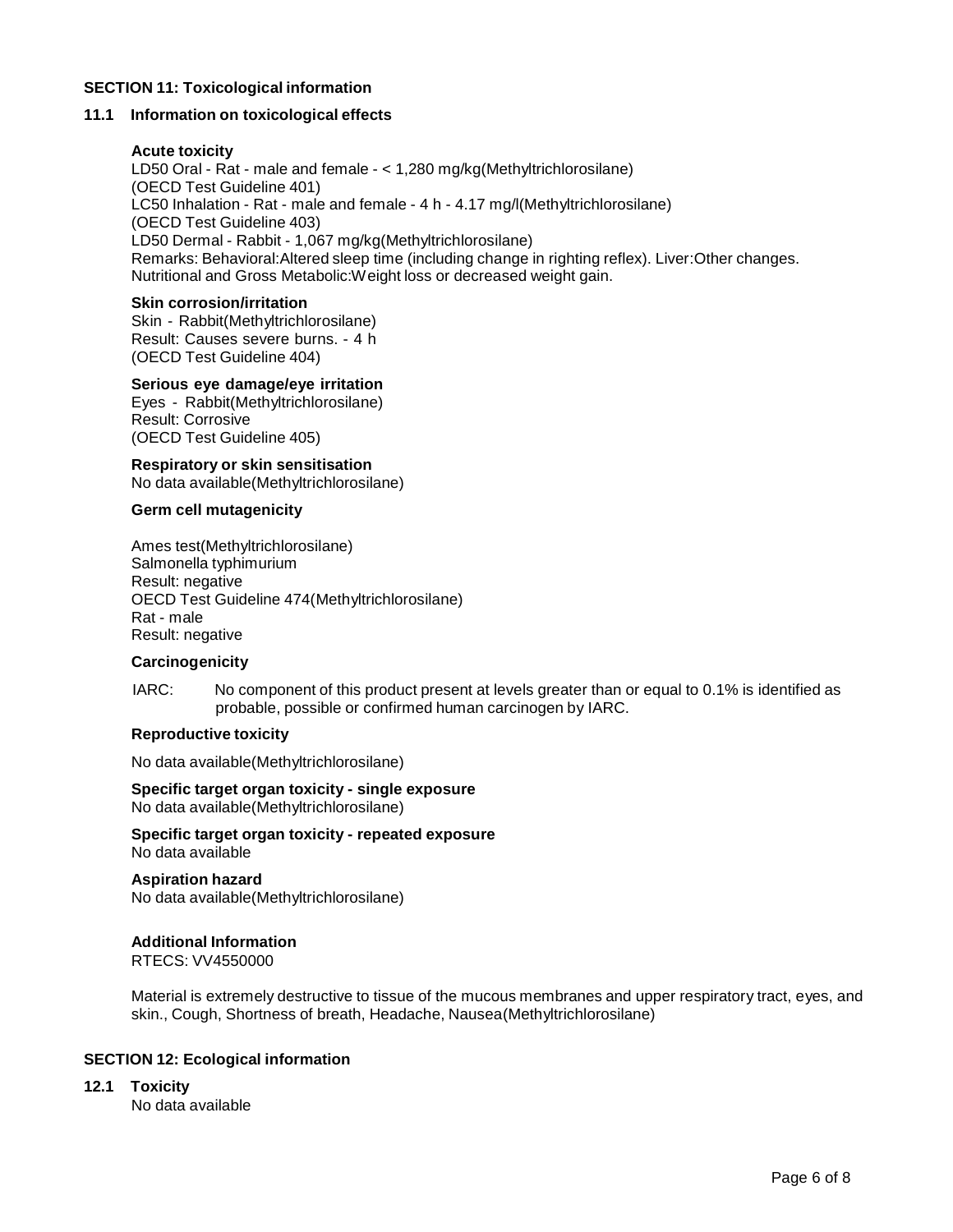# **SECTION 11: Toxicological information**

# **11.1 Information on toxicological effects**

# **Acute toxicity**

LD50 Oral - Rat - male and female - < 1,280 mg/kg(Methyltrichlorosilane) (OECD Test Guideline 401) LC50 Inhalation - Rat - male and female - 4 h - 4.17 mg/l(Methyltrichlorosilane) (OECD Test Guideline 403) LD50 Dermal - Rabbit - 1,067 mg/kg(Methyltrichlorosilane) Remarks: Behavioral:Altered sleep time (including change in righting reflex). Liver:Other changes. Nutritional and Gross Metabolic:Weight loss or decreased weight gain.

#### **Skin corrosion/irritation**

Skin - Rabbit(Methyltrichlorosilane) Result: Causes severe burns. - 4 h (OECD Test Guideline 404)

# **Serious eye damage/eye irritation**

Eyes - Rabbit(Methyltrichlorosilane) Result: Corrosive (OECD Test Guideline 405)

#### **Respiratory orskin sensitisation**

No data available(Methyltrichlorosilane)

#### **Germ cell mutagenicity**

Ames test(Methyltrichlorosilane) Salmonella typhimurium Result: negative OECD Test Guideline 474(Methyltrichlorosilane) Rat - male Result: negative

#### **Carcinogenicity**

IARC: No component of this product present at levels greater than or equal to 0.1% is identified as probable, possible or confirmed human carcinogen by IARC.

#### **Reproductive toxicity**

No data available(Methyltrichlorosilane)

**Specific target organ toxicity - single exposure** No data available(Methyltrichlorosilane)

**Specific target organ toxicity - repeated exposure** No data available

**Aspiration hazard** No data available(Methyltrichlorosilane)

# **Additional Information**

RTECS: VV4550000

Material is extremely destructive to tissue of the mucous membranes and upper respiratory tract, eyes, and skin., Cough, Shortness of breath, Headache, Nausea(Methyltrichlorosilane)

# **SECTION 12: Ecological information**

**12.1 Toxicity**

No data available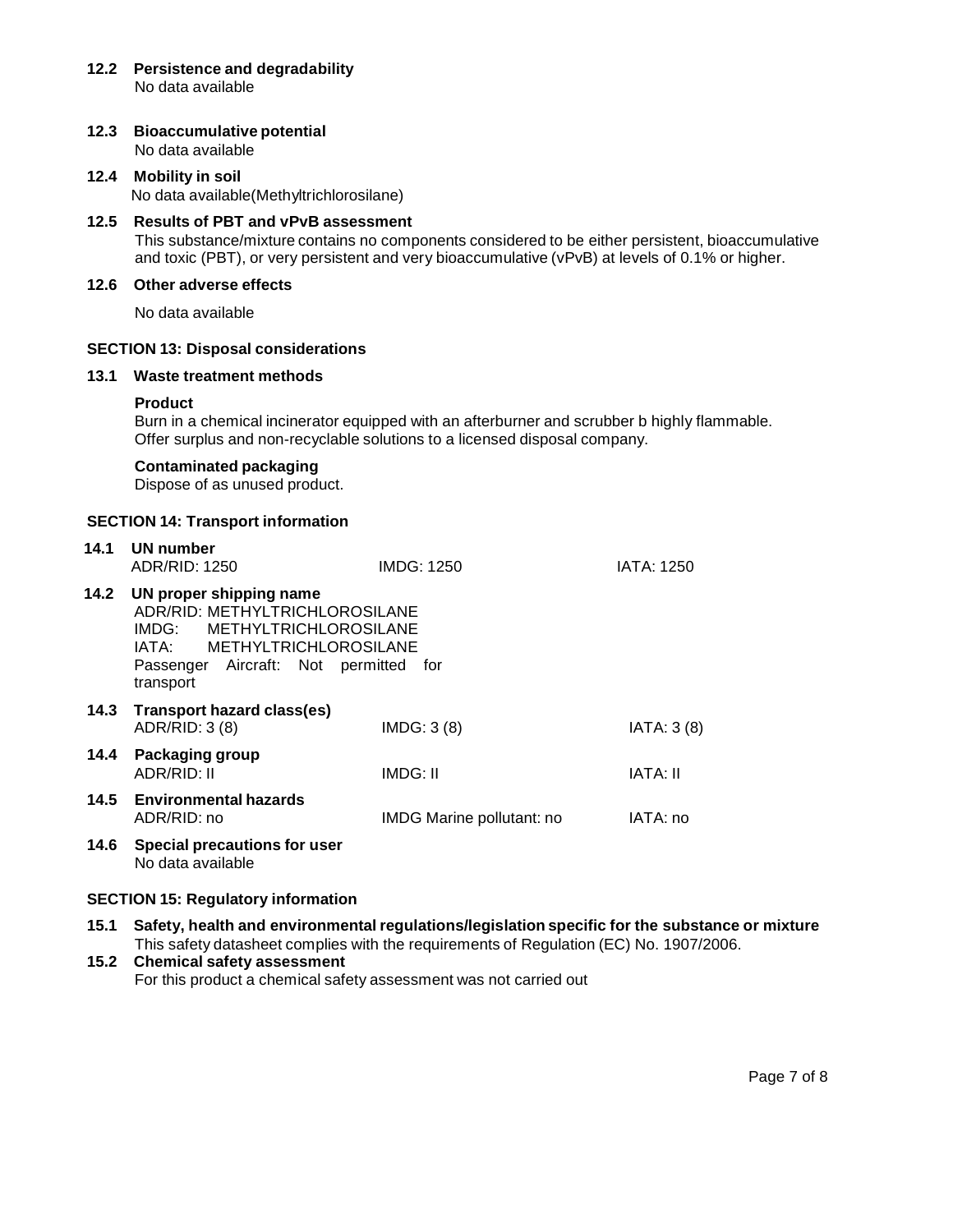- **12.2 Persistence and degradability** No data available
- **12.3 Bioaccumulative potential** No data available
- **12.4 Mobility in soil** No data available(Methyltrichlorosilane)
- **12.5 Results of PBT and vPvB assessment** This substance/mixture contains no components considered to be either persistent, bioaccumulative and toxic (PBT), or very persistent and very bioaccumulative (vPvB) at levels of 0.1% or higher.

# **12.6 Other adverse effects**

No data available

# **SECTION 13: Disposal considerations**

# **13.1 Waste treatment methods**

#### **Product**

Burn in a chemical incinerator equipped with an afterburner and scrubber b highly flammable. Offer surplus and non-recyclable solutions to a licensed disposal company.

#### **Contaminated packaging**

Dispose of as unused product.

# **SECTION 14: Transport information**

| 14.1 | UN number<br>ADR/RID: 1250                                                                                                                                                         | IMDG: 1250                | <b>IATA: 1250</b> |
|------|------------------------------------------------------------------------------------------------------------------------------------------------------------------------------------|---------------------------|-------------------|
| 14.2 | UN proper shipping name<br>ADR/RID: METHYLTRICHLOROSILANE<br>IMDG: METHYLTRICHLOROSILANE<br>IATA: METHYLTRICHLOROSILANE<br>Passenger Aircraft: Not permitted<br>for f<br>transport |                           |                   |
| 14.3 | Transport hazard class(es)<br>ADR/RID: 3 (8)                                                                                                                                       | IMDG: 3(8)                | IATA: 3(8)        |
| 14.4 | Packaging group<br>ADR/RID: II                                                                                                                                                     | IMDG: II                  | IATA: II          |
| 14.5 | <b>Environmental hazards</b><br>ADR/RID: no                                                                                                                                        | IMDG Marine pollutant: no | IATA: no          |
| 14.6 | Special precautions for user<br>No data available                                                                                                                                  |                           |                   |

#### **SECTION 15: Regulatory information**

**15.1 Safety, health and environmental regulations/legislation specific for the substance ormixture** This safety datasheet complies with the requirements of Regulation (EC) No. 1907/2006.

# **15.2 Chemical safety assessment**

For this product a chemical safety assessment was not carried out